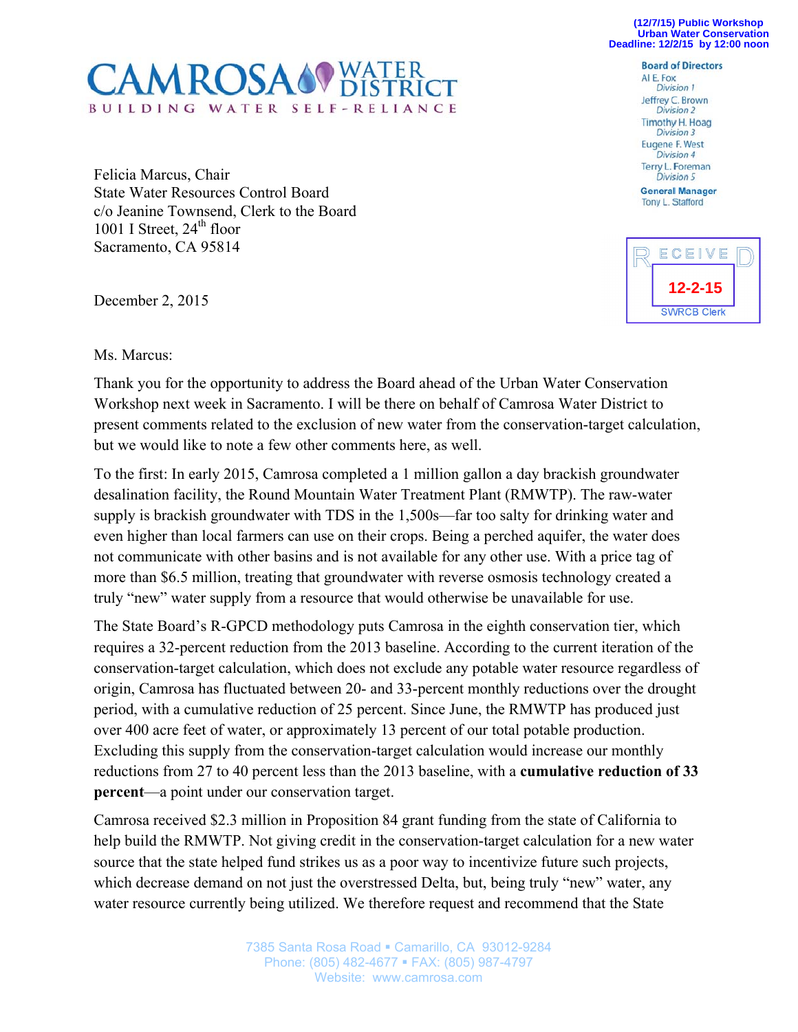**(12/7/15) Public Workshop Urban Water Conservation Deadline: 12/2/15 by 12:00 noon**



Felicia Marcus, Chair State Water Resources Control Board c/o Jeanine Townsend, Clerk to the Board 1001 I Street,  $24<sup>th</sup>$  floor Sacramento, CA 95814

December 2, 2015

**Board of Directors** AI E. Fox **Division 1** Jeffrey C. Brown **Division 2** Timothy H. Hoag Division 3 Eugene F. West Division 4 Terry L. Foreman Division 5 **General Manager** Tony L. Stafford



Ms. Marcus:

Thank you for the opportunity to address the Board ahead of the Urban Water Conservation Workshop next week in Sacramento. I will be there on behalf of Camrosa Water District to present comments related to the exclusion of new water from the conservation-target calculation, but we would like to note a few other comments here, as well.

To the first: In early 2015, Camrosa completed a 1 million gallon a day brackish groundwater desalination facility, the Round Mountain Water Treatment Plant (RMWTP). The raw-water supply is brackish groundwater with TDS in the 1,500s—far too salty for drinking water and even higher than local farmers can use on their crops. Being a perched aquifer, the water does not communicate with other basins and is not available for any other use. With a price tag of more than \$6.5 million, treating that groundwater with reverse osmosis technology created a truly "new" water supply from a resource that would otherwise be unavailable for use.

The State Board's R-GPCD methodology puts Camrosa in the eighth conservation tier, which requires a 32-percent reduction from the 2013 baseline. According to the current iteration of the conservation-target calculation, which does not exclude any potable water resource regardless of origin, Camrosa has fluctuated between 20- and 33-percent monthly reductions over the drought period, with a cumulative reduction of 25 percent. Since June, the RMWTP has produced just over 400 acre feet of water, or approximately 13 percent of our total potable production. Excluding this supply from the conservation-target calculation would increase our monthly reductions from 27 to 40 percent less than the 2013 baseline, with a **cumulative reduction of 33 percent**—a point under our conservation target.

Camrosa received \$2.3 million in Proposition 84 grant funding from the state of California to help build the RMWTP. Not giving credit in the conservation-target calculation for a new water source that the state helped fund strikes us as a poor way to incentivize future such projects, which decrease demand on not just the overstressed Delta, but, being truly "new" water, any water resource currently being utilized. We therefore request and recommend that the State

> 7385 Santa Rosa Road · Camarillo, CA 93012-9284 Phone: (805) 482-4677 FAX: (805) 987-4797 Website: www.camrosa.com